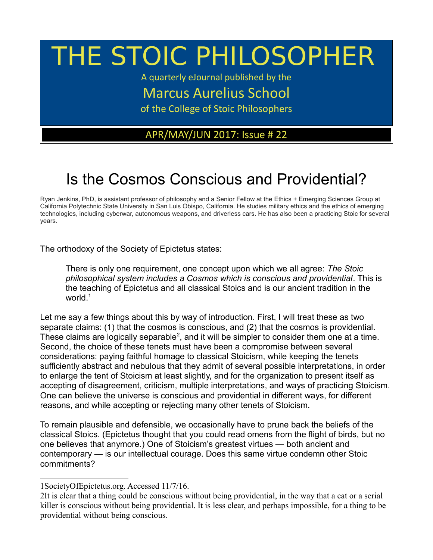# THE STOIC PHILOSOPHER

A quarterly eJournal published by the

Marcus Aurelius School

of the College of Stoic Philosophers

### APR/MAY/JUN 2017: Issue # 22

## Is the Cosmos Conscious and Providential?

Ryan Jenkins, PhD, is assistant professor of philosophy and a Senior Fellow at the Ethics + Emerging Sciences Group at California Polytechnic State University in San Luis Obispo, California. He studies military ethics and the ethics of emerging technologies, including cyberwar, autonomous weapons, and driverless cars. He has also been a practicing Stoic for several years.

The orthodoxy of the Society of Epictetus states:

There is only one requirement, one concept upon which we all agree: *The Stoic philosophical system includes a Cosmos which is conscious and providential*. This is the teaching of Epictetus and all classical Stoics and is our ancient tradition in the world.<sup>[1](#page-0-0)</sup>

Let me say a few things about this by way of introduction. First, I will treat these as two separate claims: (1) that the cosmos is conscious, and (2) that the cosmos is providential. These claims are logically separable<sup>[2](#page-0-1)</sup>, and it will be simpler to consider them one at a time. Second, the choice of these tenets must have been a compromise between several considerations: paying faithful homage to classical Stoicism, while keeping the tenets sufficiently abstract and nebulous that they admit of several possible interpretations, in order to enlarge the tent of Stoicism at least slightly, and for the organization to present itself as accepting of disagreement, criticism, multiple interpretations, and ways of practicing Stoicism. One can believe the universe is conscious and providential in different ways, for different reasons, and while accepting or rejecting many other tenets of Stoicism.

To remain plausible and defensible, we occasionally have to prune back the beliefs of the classical Stoics. (Epictetus thought that you could read omens from the flight of birds, but no one believes that anymore.) One of Stoicism's greatest virtues — both ancient and contemporary — is our intellectual courage. Does this same virtue condemn other Stoic commitments?

<span id="page-0-0"></span><sup>1</sup>SocietyOfEpictetus.org. Accessed 11/7/16.

<span id="page-0-1"></span><sup>2</sup>It is clear that a thing could be conscious without being providential, in the way that a cat or a serial killer is conscious without being providential. It is less clear, and perhaps impossible, for a thing to be providential without being conscious.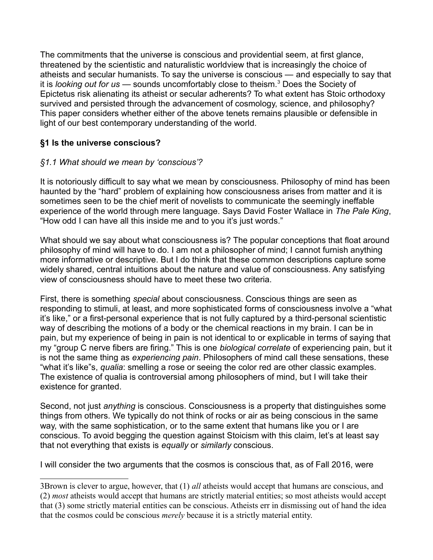The commitments that the universe is conscious and providential seem, at first glance, threatened by the scientistic and naturalistic worldview that is increasingly the choice of atheists and secular humanists. To say the universe is conscious — and especially to say that it is *looking out for us* — sounds uncomfortably close to theism.[3](#page-1-0) Does the Society of Epictetus risk alienating its atheist or secular adherents? To what extent has Stoic orthodoxy survived and persisted through the advancement of cosmology, science, and philosophy? This paper considers whether either of the above tenets remains plausible or defensible in light of our best contemporary understanding of the world.

#### **§1 Is the universe conscious?**

#### *§1.1 What should we mean by 'conscious'?*

It is notoriously difficult to say what we mean by consciousness. Philosophy of mind has been haunted by the "hard" problem of explaining how consciousness arises from matter and it is sometimes seen to be the chief merit of novelists to communicate the seemingly ineffable experience of the world through mere language. Says David Foster Wallace in *The Pale King*, "How odd I can have all this inside me and to you it's just words."

What should we say about what consciousness is? The popular conceptions that float around philosophy of mind will have to do. I am not a philosopher of mind; I cannot furnish anything more informative or descriptive. But I do think that these common descriptions capture some widely shared, central intuitions about the nature and value of consciousness. Any satisfying view of consciousness should have to meet these two criteria.

First, there is something *special* about consciousness. Conscious things are seen as responding to stimuli, at least, and more sophisticated forms of consciousness involve a "what it's like," or a first-personal experience that is not fully captured by a third-personal scientistic way of describing the motions of a body or the chemical reactions in my brain. I can be in pain, but my experience of being in pain is not identical to or explicable in terms of saying that my "group C nerve fibers are firing." This is one *biological correlate* of experiencing pain, but it is not the same thing as *experiencing pain*. Philosophers of mind call these sensations, these "what it's like"s, *qualia*: smelling a rose or seeing the color red are other classic examples. The existence of qualia is controversial among philosophers of mind, but I will take their existence for granted.

Second, not just *anything* is conscious. Consciousness is a property that distinguishes some things from others. We typically do not think of rocks or air as being conscious in the same way, with the same sophistication, or to the same extent that humans like you or I are conscious. To avoid begging the question against Stoicism with this claim, let's at least say that not everything that exists is *equally* or *similarly* conscious.

I will consider the two arguments that the cosmos is conscious that, as of Fall 2016, were

<span id="page-1-0"></span><sup>3</sup>Brown is clever to argue, however, that (1) *all* atheists would accept that humans are conscious, and (2) *most* atheists would accept that humans are strictly material entities; so most atheists would accept that (3) some strictly material entities can be conscious. Atheists err in dismissing out of hand the idea that the cosmos could be conscious *merely* because it is a strictly material entity.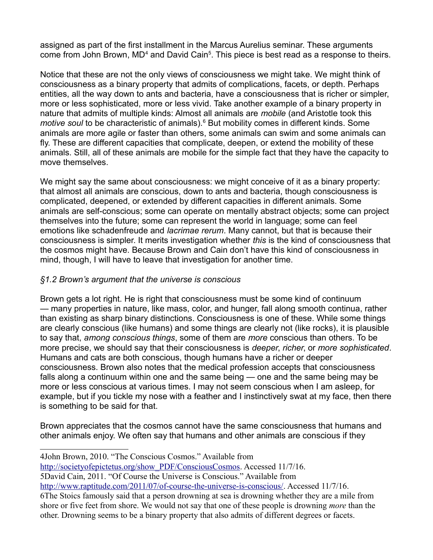assigned as part of the first installment in the Marcus Aurelius seminar. These arguments come from John Brown, MD<sup>[4](#page-2-0)</sup> and David Cain<sup>[5](#page-2-1)</sup>. This piece is best read as a response to theirs.

Notice that these are not the only views of consciousness we might take. We might think of consciousness as a binary property that admits of complications, facets, or depth. Perhaps entities, all the way down to ants and bacteria, have a consciousness that is richer or simpler, more or less sophisticated, more or less vivid. Take another example of a binary property in nature that admits of multiple kinds: Almost all animals are *mobile* (and Aristotle took this motive soul to be characteristic of animals).<sup>[6](#page-2-2)</sup> But mobility comes in different kinds. Some animals are more agile or faster than others, some animals can swim and some animals can fly. These are different capacities that complicate, deepen, or extend the mobility of these animals. Still, all of these animals are mobile for the simple fact that they have the capacity to move themselves.

We might say the same about consciousness: we might conceive of it as a binary property: that almost all animals are conscious, down to ants and bacteria, though consciousness is complicated, deepened, or extended by different capacities in different animals. Some animals are self-conscious; some can operate on mentally abstract objects; some can project themselves into the future; some can represent the world in language; some can feel emotions like schadenfreude and *lacrimae rerum*. Many cannot, but that is because their consciousness is simpler. It merits investigation whether *this* is the kind of consciousness that the cosmos might have. Because Brown and Cain don't have this kind of consciousness in mind, though, I will have to leave that investigation for another time.

#### *§1.2 Brown's argument that the universe is conscious*

Brown gets a lot right. He is right that consciousness must be some kind of continuum — many properties in nature, like mass, color, and hunger, fall along smooth continua, rather than existing as sharp binary distinctions. Consciousness is one of these. While some things are clearly conscious (like humans) and some things are clearly not (like rocks), it is plausible to say that, *among conscious things*, some of them are *more* conscious than others. To be more precise, we should say that their consciousness is *deeper*, *richer*, or *more sophisticated*. Humans and cats are both conscious, though humans have a richer or deeper consciousness. Brown also notes that the medical profession accepts that consciousness falls along a continuum within one and the same being — one and the same being may be more or less conscious at various times. I may not seem conscious when I am asleep, for example, but if you tickle my nose with a feather and I instinctively swat at my face, then there is something to be said for that.

Brown appreciates that the cosmos cannot have the same consciousness that humans and other animals enjoy. We often say that humans and other animals are conscious if they

[http://societyofepictetus.org/show\\_PDF/ConsciousCosmos.](http://societyofepictetus.org/show_PDF/ConsciousCosmos) Accessed 11/7/16.

<span id="page-2-1"></span>5David Cain, 2011. "Of Course the Universe is Conscious." Available from

<span id="page-2-2"></span>[http://www.raptitude.com/2011/07/of-course-the-universe-is-conscious/.](http://www.raptitude.com/2011/07/of-course-the-universe-is-conscious/) Accessed 11/7/16. 6The Stoics famously said that a person drowning at sea is drowning whether they are a mile from shore or five feet from shore. We would not say that one of these people is drowning *more* than the other. Drowning seems to be a binary property that also admits of different degrees or facets.

<span id="page-2-0"></span><sup>4</sup>John Brown, 2010. "The Conscious Cosmos." Available from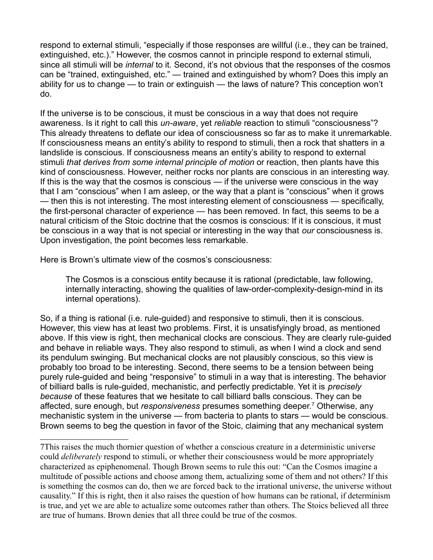respond to external stimuli, "especially if those responses are willful (i.e., they can be trained, extinguished, etc.)." However, the cosmos cannot in principle respond to external stimuli, since all stimuli will be *internal* to it. Second, it's not obvious that the responses of the cosmos can be "trained, extinguished, etc." — trained and extinguished by whom? Does this imply an ability for us to change — to train or extinguish — the laws of nature? This conception won't do.

If the universe is to be conscious, it must be conscious in a way that does not require awareness. Is it right to call this *un-aware*, yet *reliable* reaction to stimuli "consciousness"? This already threatens to deflate our idea of consciousness so far as to make it unremarkable. If consciousness means an entity's ability to respond to stimuli, then a rock that shatters in a landslide is conscious. If consciousness means an entity's ability to respond to external stimuli *that derives from some internal principle of motion* or reaction, then plants have this kind of consciousness. However, neither rocks nor plants are conscious in an interesting way. If this is the way that the cosmos is conscious — if the universe were conscious in the way that I am "conscious" when I am asleep, or the way that a plant is "conscious" when it grows — then this is not interesting. The most interesting element of consciousness — specifically, the first-personal character of experience — has been removed. In fact, this seems to be a natural criticism of the Stoic doctrine that the cosmos is conscious: If it is conscious, it must be conscious in a way that is not special or interesting in the way that *our* consciousness is. Upon investigation, the point becomes less remarkable.

Here is Brown's ultimate view of the cosmos's consciousness:

The Cosmos is a conscious entity because it is rational (predictable, law following, internally interacting, showing the qualities of law-order-complexity-design-mind in its internal operations).

So, if a thing is rational (i.e. rule-guided) and responsive to stimuli, then it is conscious. However, this view has at least two problems. First, it is unsatisfyingly broad, as mentioned above. If this view is right, then mechanical clocks are conscious. They are clearly rule-guided and behave in reliable ways. They also respond to stimuli, as when I wind a clock and send its pendulum swinging. But mechanical clocks are not plausibly conscious, so this view is probably too broad to be interesting. Second, there seems to be a tension between being purely rule-guided and being "responsive" to stimuli in a way that is interesting. The behavior of billiard balls is rule-guided, mechanistic, and perfectly predictable. Yet it is *precisely because* of these features that we hesitate to call billiard balls conscious. They can be affected, sure enough, but *responsiveness* presumes something deeper.[7](#page-3-0) Otherwise, any mechanistic system in the universe — from bacteria to plants to stars — would be conscious. Brown seems to beg the question in favor of the Stoic, claiming that any mechanical system

<span id="page-3-0"></span><sup>7</sup>This raises the much thornier question of whether a conscious creature in a deterministic universe could *deliberately* respond to stimuli, or whether their consciousness would be more appropriately characterized as epiphenomenal. Though Brown seems to rule this out: "Can the Cosmos imagine a multitude of possible actions and choose among them, actualizing some of them and not others? If this is something the cosmos can do, then we are forced back to the irrational universe, the universe without causality." If this is right, then it also raises the question of how humans can be rational, if determinism is true, and yet we are able to actualize some outcomes rather than others. The Stoics believed all three are true of humans. Brown denies that all three could be true of the cosmos.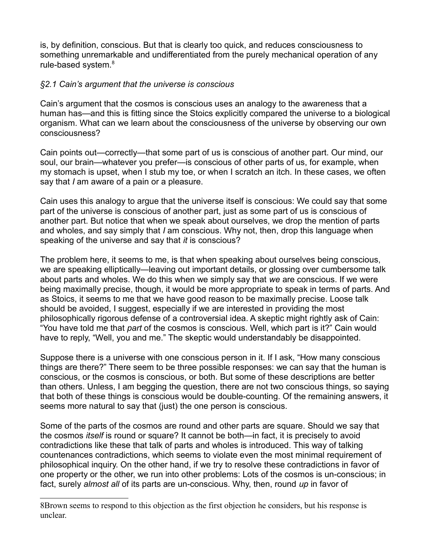is, by definition, conscious. But that is clearly too quick, and reduces consciousness to something unremarkable and undifferentiated from the purely mechanical operation of any rule-based system.<sup>[8](#page-4-0)</sup>

#### *§2.1 Cain's argument that the universe is conscious*

Cain's argument that the cosmos is conscious uses an analogy to the awareness that a human has—and this is fitting since the Stoics explicitly compared the universe to a biological organism. What can we learn about the consciousness of the universe by observing our own consciousness?

Cain points out—correctly—that some part of us is conscious of another part. Our mind, our soul, our brain—whatever you prefer—is conscious of other parts of us, for example, when my stomach is upset, when I stub my toe, or when I scratch an itch. In these cases, we often say that *I* am aware of a pain or a pleasure.

Cain uses this analogy to argue that the universe itself is conscious: We could say that some part of the universe is conscious of another part, just as some part of us is conscious of another part. But notice that when we speak about ourselves, we drop the mention of parts and wholes, and say simply that *I* am conscious. Why not, then, drop this language when speaking of the universe and say that *it* is conscious?

The problem here, it seems to me, is that when speaking about ourselves being conscious, we are speaking elliptically—leaving out important details, or glossing over cumbersome talk about parts and wholes. We do this when we simply say that *we* are conscious. If we were being maximally precise, though, it would be more appropriate to speak in terms of parts. And as Stoics, it seems to me that we have good reason to be maximally precise. Loose talk should be avoided, I suggest, especially if we are interested in providing the most philosophically rigorous defense of a controversial idea. A skeptic might rightly ask of Cain: "You have told me that *part* of the cosmos is conscious. Well, which part is it?" Cain would have to reply, "Well, you and me." The skeptic would understandably be disappointed.

Suppose there is a universe with one conscious person in it. If I ask, "How many conscious things are there?" There seem to be three possible responses: we can say that the human is conscious, or the cosmos is conscious, or both. But some of these descriptions are better than others. Unless, I am begging the question, there are not two conscious things, so saying that both of these things is conscious would be double-counting. Of the remaining answers, it seems more natural to say that (just) the one person is conscious.

Some of the parts of the cosmos are round and other parts are square. Should we say that the cosmos *itself* is round or square? It cannot be both—in fact, it is precisely to avoid contradictions like these that talk of parts and wholes is introduced. This way of talking countenances contradictions, which seems to violate even the most minimal requirement of philosophical inquiry. On the other hand, if we try to resolve these contradictions in favor of one property or the other, we run into other problems: Lots of the cosmos is un-conscious; in fact, surely *almost all* of its parts are un-conscious. Why, then, round *up* in favor of

<span id="page-4-0"></span><sup>8</sup>Brown seems to respond to this objection as the first objection he considers, but his response is unclear.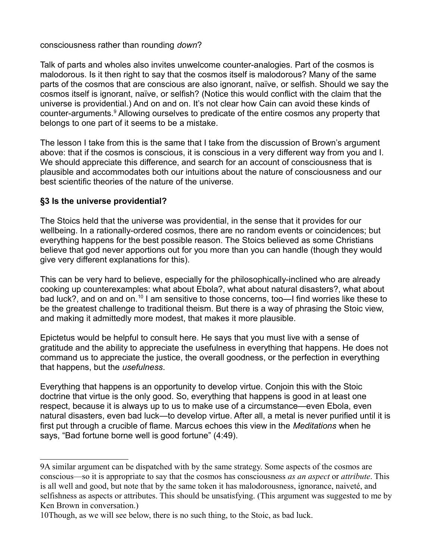consciousness rather than rounding *down*?

Talk of parts and wholes also invites unwelcome counter-analogies. Part of the cosmos is malodorous. Is it then right to say that the cosmos itself is malodorous? Many of the same parts of the cosmos that are conscious are also ignorant, naïve, or selfish. Should we say the cosmos itself is ignorant, naïve, or selfish? (Notice this would conflict with the claim that the universe is providential.) And on and on. It's not clear how Cain can avoid these kinds of counter-arguments.<sup>[9](#page-5-0)</sup> Allowing ourselves to predicate of the entire cosmos any property that belongs to one part of it seems to be a mistake.

The lesson I take from this is the same that I take from the discussion of Brown's argument above: that if the cosmos is conscious, it is conscious in a very different way from you and I. We should appreciate this difference, and search for an account of consciousness that is plausible and accommodates both our intuitions about the nature of consciousness and our best scientific theories of the nature of the universe.

#### **§3 Is the universe providential?**

The Stoics held that the universe was providential, in the sense that it provides for our wellbeing. In a rationally-ordered cosmos, there are no random events or coincidences; but everything happens for the best possible reason. The Stoics believed as some Christians believe that god never apportions out for you more than you can handle (though they would give very different explanations for this).

This can be very hard to believe, especially for the philosophically-inclined who are already cooking up counterexamples: what about Ebola?, what about natural disasters?, what about bad luck?, and on and on.<sup>[10](#page-5-1)</sup> I am sensitive to those concerns, too—I find worries like these to be the greatest challenge to traditional theism. But there is a way of phrasing the Stoic view, and making it admittedly more modest, that makes it more plausible.

Epictetus would be helpful to consult here. He says that you must live with a sense of gratitude and the ability to appreciate the usefulness in everything that happens. He does not command us to appreciate the justice, the overall goodness, or the perfection in everything that happens, but the *usefulness*.

Everything that happens is an opportunity to develop virtue. Conjoin this with the Stoic doctrine that virtue is the only good. So, everything that happens is good in at least one respect, because it is always up to us to make use of a circumstance—even Ebola, even natural disasters, even bad luck—to develop virtue. After all, a metal is never purified until it is first put through a crucible of flame. Marcus echoes this view in the *Meditations* when he says, "Bad fortune borne well is good fortune" (4:49).

<span id="page-5-0"></span><sup>9</sup>A similar argument can be dispatched with by the same strategy. Some aspects of the cosmos are conscious—so it is appropriate to say that the cosmos has consciousness *as an aspect* or *attribute*. This is all well and good, but note that by the same token it has malodorousness, ignorance, naiveté, and selfishness as aspects or attributes. This should be unsatisfying. (This argument was suggested to me by Ken Brown in conversation.)

<span id="page-5-1"></span><sup>10</sup>Though, as we will see below, there is no such thing, to the Stoic, as bad luck.